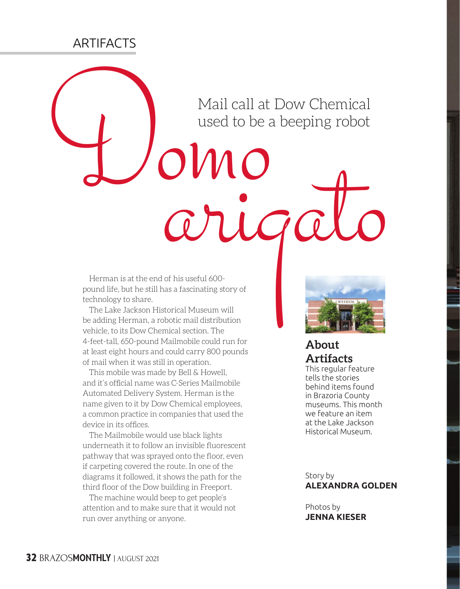## **ARTIFACTS**

Mail call at Dow Chemical<br>used to be a beeping robot<br>wear to be a beeping robot<br>**COUCO**<br>External is at the end of his useful 600-<br>technology to share. Mail call at Dow Chemical used to be a beeping robot

Herman is at the end of his useful 600 pound life, but he still has a fascinating story of technology to share.

The Lake Jackson Historical Museum will be adding Herman, a robotic mail distribution vehicle, to its Dow Chemical section. The 4-feet-tall, 650-pound Mailmobile could run for at least eight hours and could carry 800 pounds of mail when it was still in operation.

This mobile was made by Bell & Howell, and it's official name was C-Series Mailmobile Automated Delivery System. Herman is the name given to it by Dow Chemical employees, a common practice in companies that used the device in its offices.

The Mailmobile would use black lights underneath it to follow an invisible fluorescent pathway that was sprayed onto the floor, even if carpeting covered the route. In one of the diagrams it followed, it shows the path for the third floor of the Dow building in Freeport.

The machine would beep to get people's attention and to make sure that it would not run over anything or anyone.



## **About Artifacts**

This regular feature tells the stories behind items found in Brazoria County museums. This month we feature an item at the Lake Jackson Historical Museum.

Story by **ALEXANDRA GOLDEN**

Photos by **JENNA KIESER**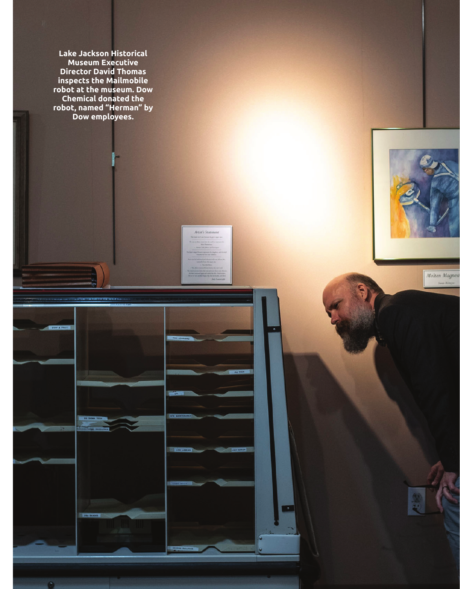**Lake Jackson Historical Museum Executive Director David Thomas inspects the Mailmobile robot at the museum. Dow Chemical donated the robot, named "Herman" by Dow employees.**

**SALE** 

 $\bullet$ 

Artist's Staten

 $\bullet$ 



Molten Magnesi **Seven McDayer**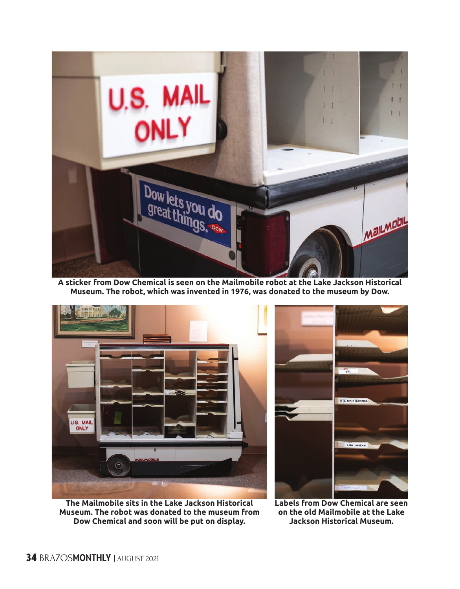

**A sticker from Dow Chemical is seen on the Mailmobile robot at the Lake Jackson Historical Museum. The robot, which was invented in 1976, was donated to the museum by Dow.**

![](_page_2_Picture_2.jpeg)

**The Mailmobile sits in the Lake Jackson Historical Museum. The robot was donated to the museum from Dow Chemical and soon will be put on display.**

![](_page_2_Picture_4.jpeg)

**Labels from Dow Chemical are seen on the old Mailmobile at the Lake Jackson Historical Museum.**